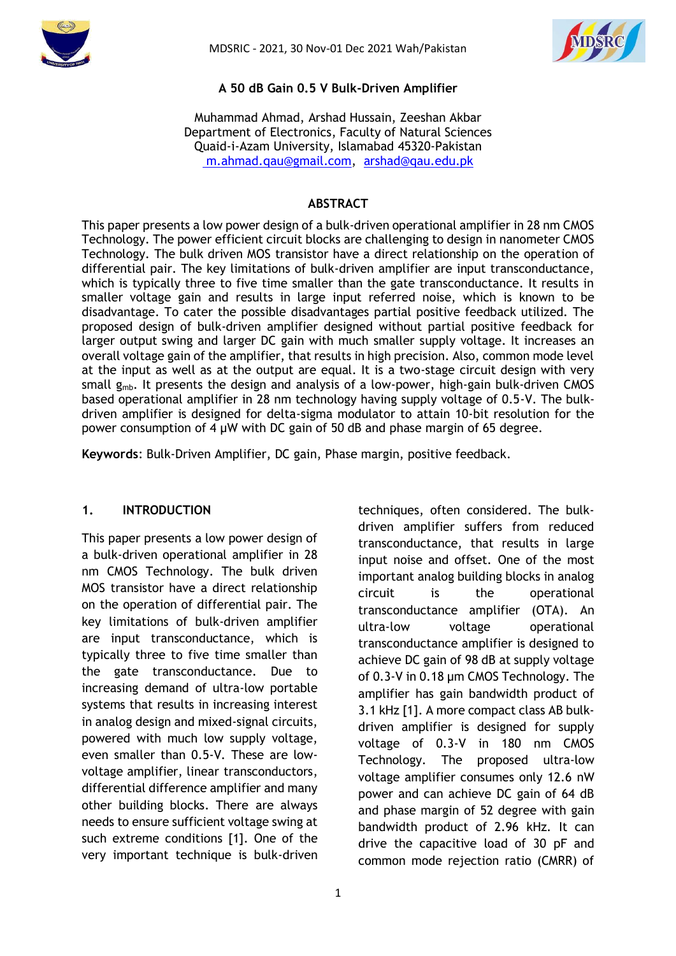



### **A 50 dB Gain 0.5 V Bulk-Driven Amplifier**

Muhammad Ahmad, Arshad Hussain, Zeeshan Akbar Department of Electronics, Faculty of Natural Sciences Quaid-i-Azam University, Islamabad 45320-Pakistan [m.ahmad.qau@gmail.com,](mailto:%20m.ahmad.qau@gmail.com) [arshad@qau.edu.pk](mailto:arshad@qau.edu.pk)

#### **ABSTRACT**

This paper presents a low power design of a bulk-driven operational amplifier in 28 nm CMOS Technology. The power efficient circuit blocks are challenging to design in nanometer CMOS Technology. The bulk driven MOS transistor have a direct relationship on the operation of differential pair. The key limitations of bulk-driven amplifier are input transconductance, which is typically three to five time smaller than the gate transconductance. It results in smaller voltage gain and results in large input referred noise, which is known to be disadvantage. To cater the possible disadvantages partial positive feedback utilized. The proposed design of bulk-driven amplifier designed without partial positive feedback for larger output swing and larger DC gain with much smaller supply voltage. It increases an overall voltage gain of the amplifier, that results in high precision. Also, common mode level at the input as well as at the output are equal. It is a two-stage circuit design with very small  $g_{mb}$ . It presents the design and analysis of a low-power, high-gain bulk-driven CMOS based operational amplifier in 28 nm technology having supply voltage of 0.5-V. The bulkdriven amplifier is designed for delta-sigma modulator to attain 10-bit resolution for the power consumption of 4 µW with DC gain of 50 dB and phase margin of 65 degree.

**Keywords**: Bulk-Driven Amplifier, DC gain, Phase margin, positive feedback.

#### **1. INTRODUCTION**

This paper presents a low power design of a bulk-driven operational amplifier in 28 nm CMOS Technology. The bulk driven MOS transistor have a direct relationship on the operation of differential pair. The key limitations of bulk-driven amplifier are input transconductance, which is typically three to five time smaller than the gate transconductance. Due to increasing demand of ultra-low portable systems that results in increasing interest in analog design and mixed-signal circuits, powered with much low supply voltage, even smaller than 0.5-V. These are lowvoltage amplifier, linear transconductors, differential difference amplifier and many other building blocks. There are always needs to ensure sufficient voltage swing at such extreme conditions [1]. One of the very important technique is bulk-driven techniques, often considered. The bulkdriven amplifier suffers from reduced transconductance, that results in large input noise and offset. One of the most important analog building blocks in analog circuit is the operational transconductance amplifier (OTA). An ultra-low voltage operational transconductance amplifier is designed to achieve DC gain of 98 dB at supply voltage of 0.3-V in 0.18 µm CMOS Technology. The amplifier has gain bandwidth product of 3.1 kHz [1]. A more compact class AB bulkdriven amplifier is designed for supply voltage of 0.3-V in 180 nm CMOS Technology. The proposed ultra-low voltage amplifier consumes only 12.6 nW power and can achieve DC gain of 64 dB and phase margin of 52 degree with gain bandwidth product of 2.96 kHz. It can drive the capacitive load of 30 pF and common mode rejection ratio (CMRR) of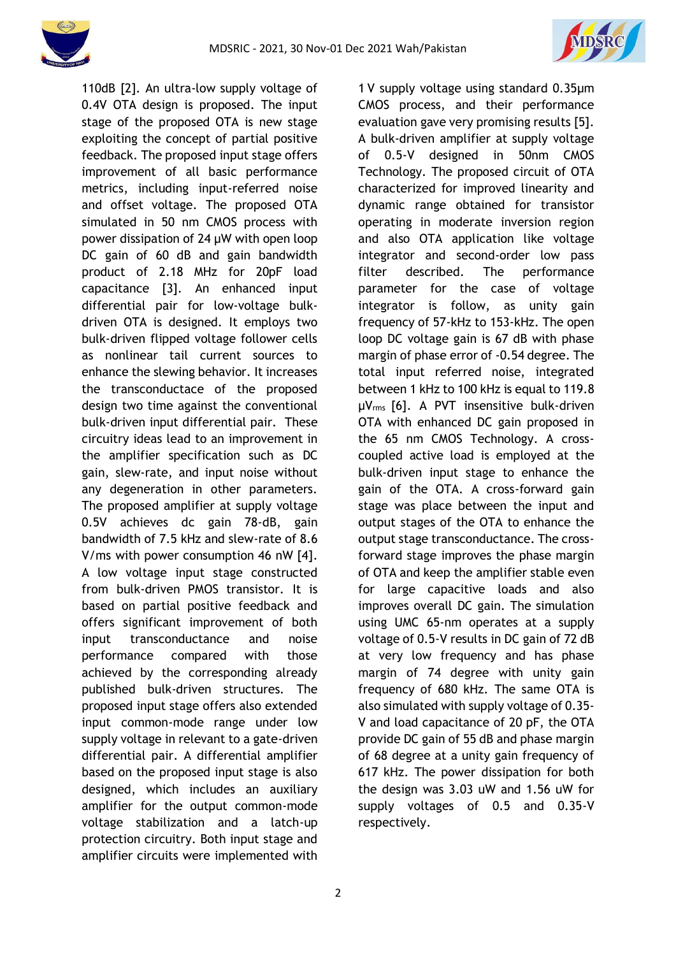



110dB [2]. An ultra-low supply voltage of 0.4V OTA design is proposed. The input stage of the proposed OTA is new stage exploiting the concept of partial positive feedback. The proposed input stage offers improvement of all basic performance metrics, including input-referred noise and offset voltage. The proposed OTA simulated in 50 nm CMOS process with power dissipation of 24 µW with open loop DC gain of 60 dB and gain bandwidth product of 2.18 MHz for 20pF load capacitance [3]. An enhanced input differential pair for low-voltage bulkdriven OTA is designed. It employs two bulk-driven flipped voltage follower cells as nonlinear tail current sources to enhance the slewing behavior. It increases the transconductace of the proposed design two time against the conventional bulk-driven input differential pair. These circuitry ideas lead to an improvement in the amplifier specification such as DC gain, slew-rate, and input noise without any degeneration in other parameters. The proposed amplifier at supply voltage 0.5V achieves dc gain 78-dB, gain bandwidth of 7.5 kHz and slew-rate of 8.6 V/ms with power consumption 46 nW [4]. A low voltage input stage constructed from bulk-driven PMOS transistor. It is based on partial positive feedback and offers significant improvement of both input transconductance and noise performance compared with those achieved by the corresponding already published bulk-driven structures. The proposed input stage offers also extended input common-mode range under low supply voltage in relevant to a gate-driven differential pair. A differential amplifier based on the proposed input stage is also designed, which includes an auxiliary amplifier for the output common-mode voltage stabilization and a latch-up protection circuitry. Both input stage and amplifier circuits were implemented with 1 V supply voltage using standard 0.35µm CMOS process, and their performance evaluation gave very promising results [5]. A bulk-driven amplifier at supply voltage of 0.5-V designed in 50nm CMOS Technology. The proposed circuit of OTA characterized for improved linearity and dynamic range obtained for transistor operating in moderate inversion region and also OTA application like voltage integrator and second-order low pass filter described. The performance parameter for the case of voltage integrator is follow, as unity gain frequency of 57-kHz to 153-kHz. The open loop DC voltage gain is 67 dB with phase margin of phase error of -0.54 degree. The total input referred noise, integrated between 1 kHz to 100 kHz is equal to 119.8 µVrms [6]. A PVT insensitive bulk-driven OTA with enhanced DC gain proposed in the 65 nm CMOS Technology. A crosscoupled active load is employed at the bulk-driven input stage to enhance the gain of the OTA. A cross-forward gain stage was place between the input and output stages of the OTA to enhance the output stage transconductance. The crossforward stage improves the phase margin of OTA and keep the amplifier stable even for large capacitive loads and also improves overall DC gain. The simulation using UMC 65-nm operates at a supply voltage of 0.5-V results in DC gain of 72 dB at very low frequency and has phase margin of 74 degree with unity gain frequency of 680 kHz. The same OTA is also simulated with supply voltage of 0.35- V and load capacitance of 20 pF, the OTA provide DC gain of 55 dB and phase margin of 68 degree at a unity gain frequency of 617 kHz. The power dissipation for both the design was 3.03 uW and 1.56 uW for supply voltages of 0.5 and 0.35-V respectively.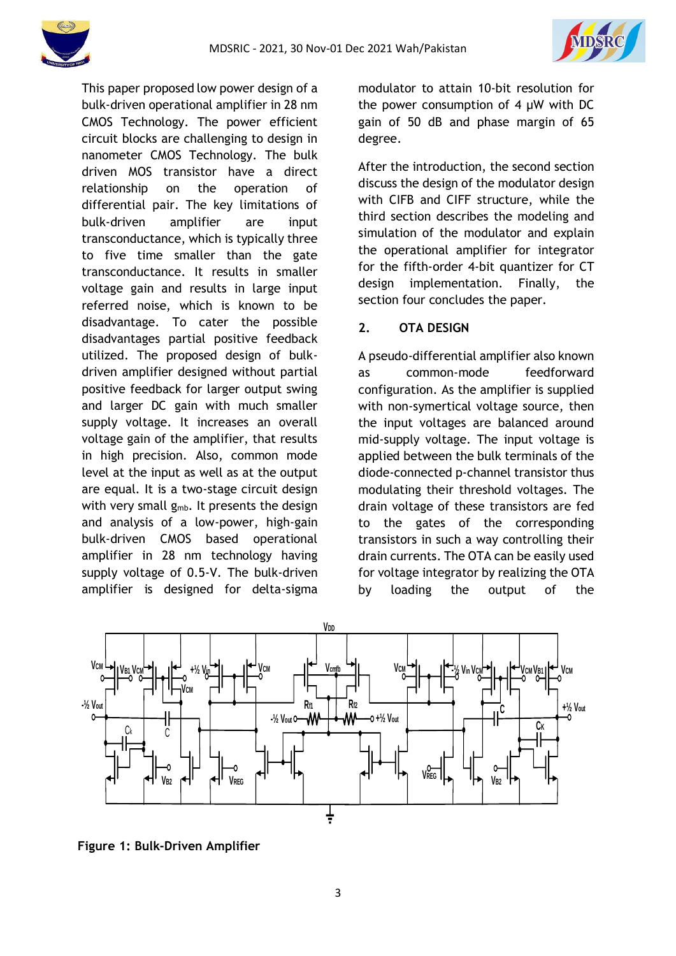

This paper proposed low power design of a bulk-driven operational amplifier in 28 nm CMOS Technology. The power efficient circuit blocks are challenging to design in nanometer CMOS Technology. The bulk driven MOS transistor have a direct relationship on the operation of differential pair. The key limitations of bulk-driven amplifier are input transconductance, which is typically three to five time smaller than the gate transconductance. It results in smaller voltage gain and results in large input referred noise, which is known to be disadvantage. To cater the possible disadvantages partial positive feedback utilized. The proposed design of bulkdriven amplifier designed without partial positive feedback for larger output swing and larger DC gain with much smaller supply voltage. It increases an overall voltage gain of the amplifier, that results in high precision. Also, common mode level at the input as well as at the output are equal. It is a two-stage circuit design with very small  $g_{mb}$ . It presents the design and analysis of a low-power, high-gain bulk-driven CMOS based operational amplifier in 28 nm technology having supply voltage of 0.5-V. The bulk-driven amplifier is designed for delta-sigma modulator to attain 10-bit resolution for the power consumption of 4 µW with DC gain of 50 dB and phase margin of 65 degree.

After the introduction, the second section discuss the design of the modulator design with CIFB and CIFF structure, while the third section describes the modeling and simulation of the modulator and explain the operational amplifier for integrator for the fifth-order 4-bit quantizer for CT design implementation. Finally, the section four concludes the paper.

#### **2. OTA DESIGN**

A pseudo-differential amplifier also known as common-mode feedforward configuration. As the amplifier is supplied with non-symertical voltage source, then the input voltages are balanced around mid-supply voltage. The input voltage is applied between the bulk terminals of the diode-connected p-channel transistor thus modulating their threshold voltages. The drain voltage of these transistors are fed to the gates of the corresponding transistors in such a way controlling their drain currents. The OTA can be easily used for voltage integrator by realizing the OTA by loading the output of the



**Figure 1: Bulk-Driven Amplifier**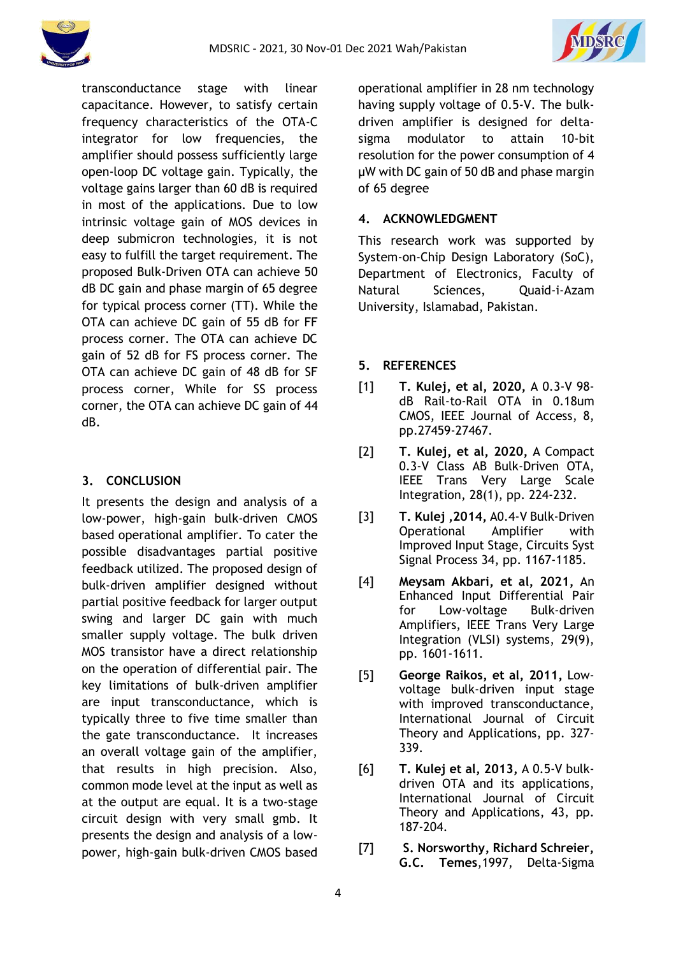



transconductance stage with linear capacitance. However, to satisfy certain frequency characteristics of the OTA-C integrator for low frequencies, the amplifier should possess sufficiently large open-loop DC voltage gain. Typically, the voltage gains larger than 60 dB is required in most of the applications. Due to low intrinsic voltage gain of MOS devices in deep submicron technologies, it is not easy to fulfill the target requirement. The proposed Bulk-Driven OTA can achieve 50 dB DC gain and phase margin of 65 degree for typical process corner (TT). While the OTA can achieve DC gain of 55 dB for FF process corner. The OTA can achieve DC gain of 52 dB for FS process corner. The OTA can achieve DC gain of 48 dB for SF process corner, While for SS process corner, the OTA can achieve DC gain of 44 dB.

## **3. CONCLUSION**

It presents the design and analysis of a low-power, high-gain bulk-driven CMOS based operational amplifier. To cater the possible disadvantages partial positive feedback utilized. The proposed design of bulk-driven amplifier designed without partial positive feedback for larger output swing and larger DC gain with much smaller supply voltage. The bulk driven MOS transistor have a direct relationship on the operation of differential pair. The key limitations of bulk-driven amplifier are input transconductance, which is typically three to five time smaller than the gate transconductance. It increases an overall voltage gain of the amplifier, that results in high precision. Also, common mode level at the input as well as at the output are equal. It is a two-stage circuit design with very small gmb. It presents the design and analysis of a lowpower, high-gain bulk-driven CMOS based operational amplifier in 28 nm technology having supply voltage of 0.5-V. The bulkdriven amplifier is designed for deltasigma modulator to attain 10-bit resolution for the power consumption of 4 µW with DC gain of 50 dB and phase margin of 65 degree

## **4. ACKNOWLEDGMENT**

This research work was supported by System-on-Chip Design Laboratory (SoC), Department of Electronics, Faculty of Natural Sciences, Quaid-i-Azam University, Islamabad, Pakistan.

# **5. REFERENCES**

- [1] **T. Kulej, et al, 2020,** A 0.3-V 98 dB Rail-to-Rail OTA in 0.18um CMOS, IEEE Journal of Access, 8, pp.27459-27467.
- [2] **T. Kulej, et al, 2020,** A Compact 0.3-V Class AB Bulk-Driven OTA, IEEE Trans Very Large Scale Integration, 28(1), pp. 224-232.
- [3] **T. Kulej ,2014,** A0.4-V Bulk-Driven Operational Amplifier with Improved Input Stage, Circuits Syst Signal Process 34, pp. 1167-1185.
- [4] **Meysam Akbari, et al, 2021,** An Enhanced Input Differential Pair for Low-voltage Bulk-driven Amplifiers, IEEE Trans Very Large Integration (VLSI) systems, 29(9), pp. 1601-1611.
- [5] **George Raikos, et al, 2011,** Lowvoltage bulk-driven input stage with improved transconductance, International Journal of Circuit Theory and Applications, pp. 327- 339.
- [6] **T. Kulej et al, 2013,** A 0.5-V bulkdriven OTA and its applications, International Journal of Circuit Theory and Applications, 43, pp. 187-204.
- [7] **S. Norsworthy, Richard Schreier, G.C. Temes**,1997, Delta-Sigma